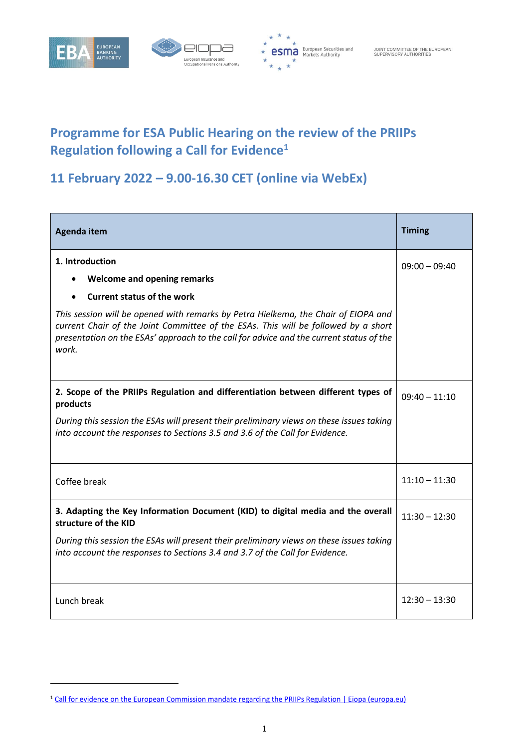

-





## **Programme for ESA Public Hearing on the review of the PRIIPs Regulation following a Call for Evidence<sup>1</sup>**

## **11 February 2022 – 9.00-16.30 CET (online via WebEx)**

| Agenda item                                                                                                                                                                                                                                                                  | <b>Timing</b>   |
|------------------------------------------------------------------------------------------------------------------------------------------------------------------------------------------------------------------------------------------------------------------------------|-----------------|
| 1. Introduction<br><b>Welcome and opening remarks</b>                                                                                                                                                                                                                        | $09:00 - 09:40$ |
| <b>Current status of the work</b>                                                                                                                                                                                                                                            |                 |
| This session will be opened with remarks by Petra Hielkema, the Chair of EIOPA and<br>current Chair of the Joint Committee of the ESAs. This will be followed by a short<br>presentation on the ESAs' approach to the call for advice and the current status of the<br>work. |                 |
| 2. Scope of the PRIIPs Regulation and differentiation between different types of<br>products                                                                                                                                                                                 | $09:40 - 11:10$ |
| During this session the ESAs will present their preliminary views on these issues taking<br>into account the responses to Sections 3.5 and 3.6 of the Call for Evidence.                                                                                                     |                 |
| Coffee break                                                                                                                                                                                                                                                                 | $11:10 - 11:30$ |
| 3. Adapting the Key Information Document (KID) to digital media and the overall<br>structure of the KID                                                                                                                                                                      | $11:30 - 12:30$ |
| During this session the ESAs will present their preliminary views on these issues taking<br>into account the responses to Sections 3.4 and 3.7 of the Call for Evidence.                                                                                                     |                 |
| Lunch break                                                                                                                                                                                                                                                                  | $12:30 - 13:30$ |

<sup>&</sup>lt;sup>1</sup> [Call for evidence on the European Commission mandate regarding the PRIIPs Regulation | Eiopa \(europa.eu\)](https://www.eiopa.europa.eu/document-library/feedback-request/call-evidence-european-commission-mandate-regarding-priips)